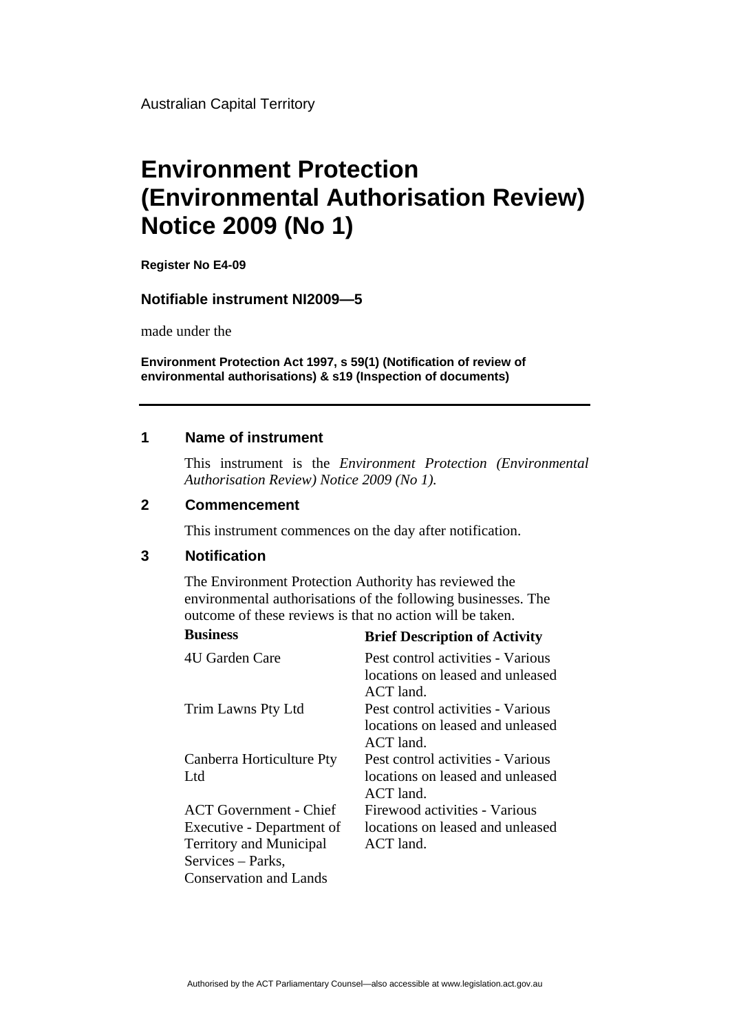Australian Capital Territory

# **Environment Protection (Environmental Authorisation Review) Notice 2009 (No 1)**

**Register No E4-09**

#### **Notifiable instrument NI2009—5**

made under the

**Environment Protection Act 1997, s 59(1) (Notification of review of environmental authorisations) & s19 (Inspection of documents)**

#### **1 Name of instrument**

This instrument is the *Environment Protection (Environmental Authorisation Review) Notice 2009 (No 1).* 

### **2 Commencement**

This instrument commences on the day after notification.

## **3 Notification**

The Environment Protection Authority has reviewed the environmental authorisations of the following businesses. The outcome of these reviews is that no action will be taken.

| <b>Business</b>                              | <b>Brief Description of Activity</b>                                               |
|----------------------------------------------|------------------------------------------------------------------------------------|
| 4U Garden Care                               | Pest control activities - Various<br>locations on leased and unleased<br>ACT land. |
| Trim Lawns Pty Ltd                           | Pest control activities - Various<br>locations on leased and unleased<br>ACT land. |
| Canberra Horticulture Pty<br>L <sub>td</sub> | Pest control activities - Various<br>locations on leased and unleased<br>ACT land. |
| <b>ACT</b> Government - Chief                | Firewood activities - Various                                                      |
| Executive - Department of                    | locations on leased and unleased                                                   |
| <b>Territory and Municipal</b>               | ACT land.                                                                          |
| Services – Parks,                            |                                                                                    |
| <b>Conservation and Lands</b>                |                                                                                    |